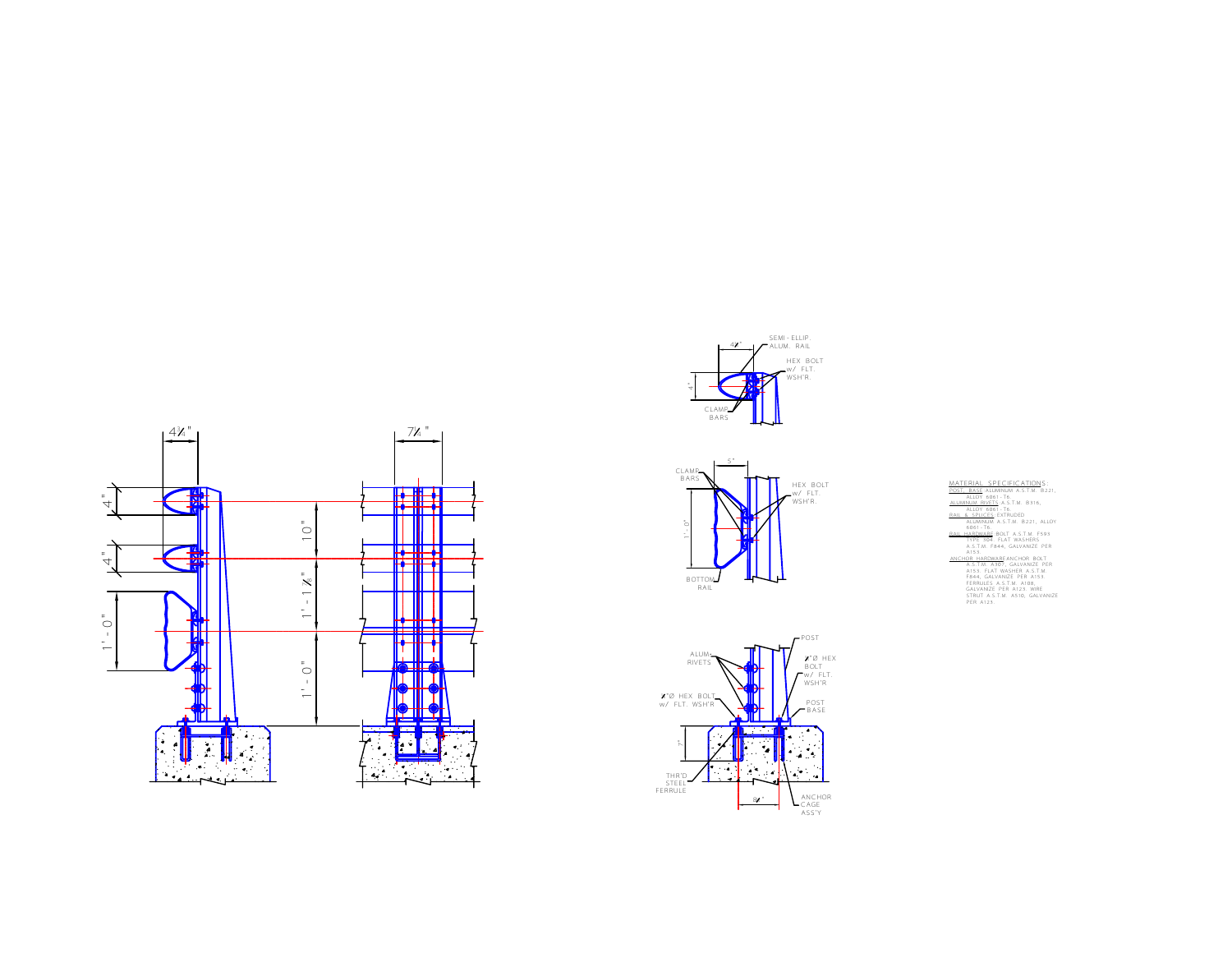







MATERIAL SPECIFICATIONS:<br>
MATERIAL SPECIFICATIONS<br>
ALUMINON A.S.T.M. 8316,<br>
ALUMINON A.S.T.M. 8316,<br>
ALUMINON A.S.T.M. 8316,<br>
ALUMINON A.S.T.M. 8312, ALUM<br>
ALUMINON A.S.T.M. 8221, ALUM<br>
ALUMINON A.S.T.M. 8422,<br>
ALUMINON A.